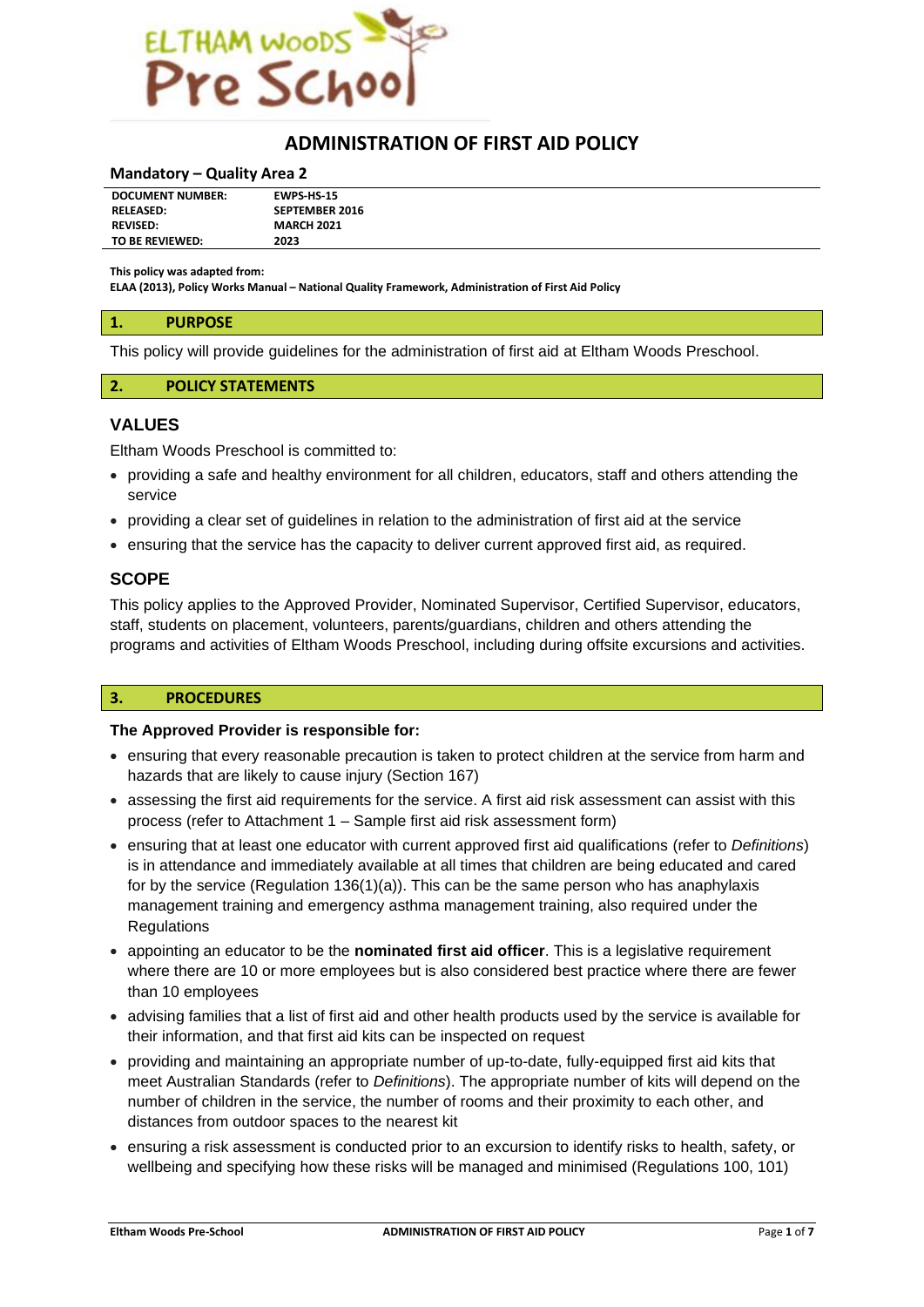

# **ADMINISTRATION OF FIRST AID POLICY**

#### **Mandatory – Quality Area 2**

| <b>DOCUMENT NUMBER:</b> | <b>EWPS HS-15</b>     |
|-------------------------|-----------------------|
| <b>RELEASED:</b>        | <b>SEPTEMBER 2016</b> |
| <b>REVISED:</b>         | <b>MARCH 2021</b>     |
| TO BE REVIEWED:         | 2023                  |

**This policy was adapted from:**

**ELAA (2013), Policy Works Manual – National Quality Framework, Administration of First Aid Policy**

## **1. PURPOSE**

This policy will provide guidelines for the administration of first aid at Eltham Woods Preschool.

## **2. POLICY STATEMENTS**

#### **VALUES**

Eltham Woods Preschool is committed to:

- providing a safe and healthy environment for all children, educators, staff and others attending the service
- providing a clear set of guidelines in relation to the administration of first aid at the service
- ensuring that the service has the capacity to deliver current approved first aid, as required.

#### **SCOPE**

This policy applies to the Approved Provider, Nominated Supervisor, Certified Supervisor, educators, staff, students on placement, volunteers, parents/guardians, children and others attending the programs and activities of Eltham Woods Preschool, including during offsite excursions and activities.

#### **3. PROCEDURES**

#### **The Approved Provider is responsible for:**

- ensuring that every reasonable precaution is taken to protect children at the service from harm and hazards that are likely to cause injury (Section 167)
- assessing the first aid requirements for the service. A first aid risk assessment can assist with this process (refer to Attachment 1 – Sample first aid risk assessment form)
- ensuring that at least one educator with current approved first aid qualifications (refer to *Definitions*) is in attendance and immediately available at all times that children are being educated and cared for by the service (Regulation 136(1)(a)). This can be the same person who has anaphylaxis management training and emergency asthma management training, also required under the **Regulations**
- appointing an educator to be the **nominated first aid officer**. This is a legislative requirement where there are 10 or more employees but is also considered best practice where there are fewer than 10 employees
- advising families that a list of first aid and other health products used by the service is available for their information, and that first aid kits can be inspected on request
- providing and maintaining an appropriate number of up-to-date, fully-equipped first aid kits that meet Australian Standards (refer to *Definitions*). The appropriate number of kits will depend on the number of children in the service, the number of rooms and their proximity to each other, and distances from outdoor spaces to the nearest kit
- ensuring a risk assessment is conducted prior to an excursion to identify risks to health, safety, or wellbeing and specifying how these risks will be managed and minimised (Regulations 100, 101)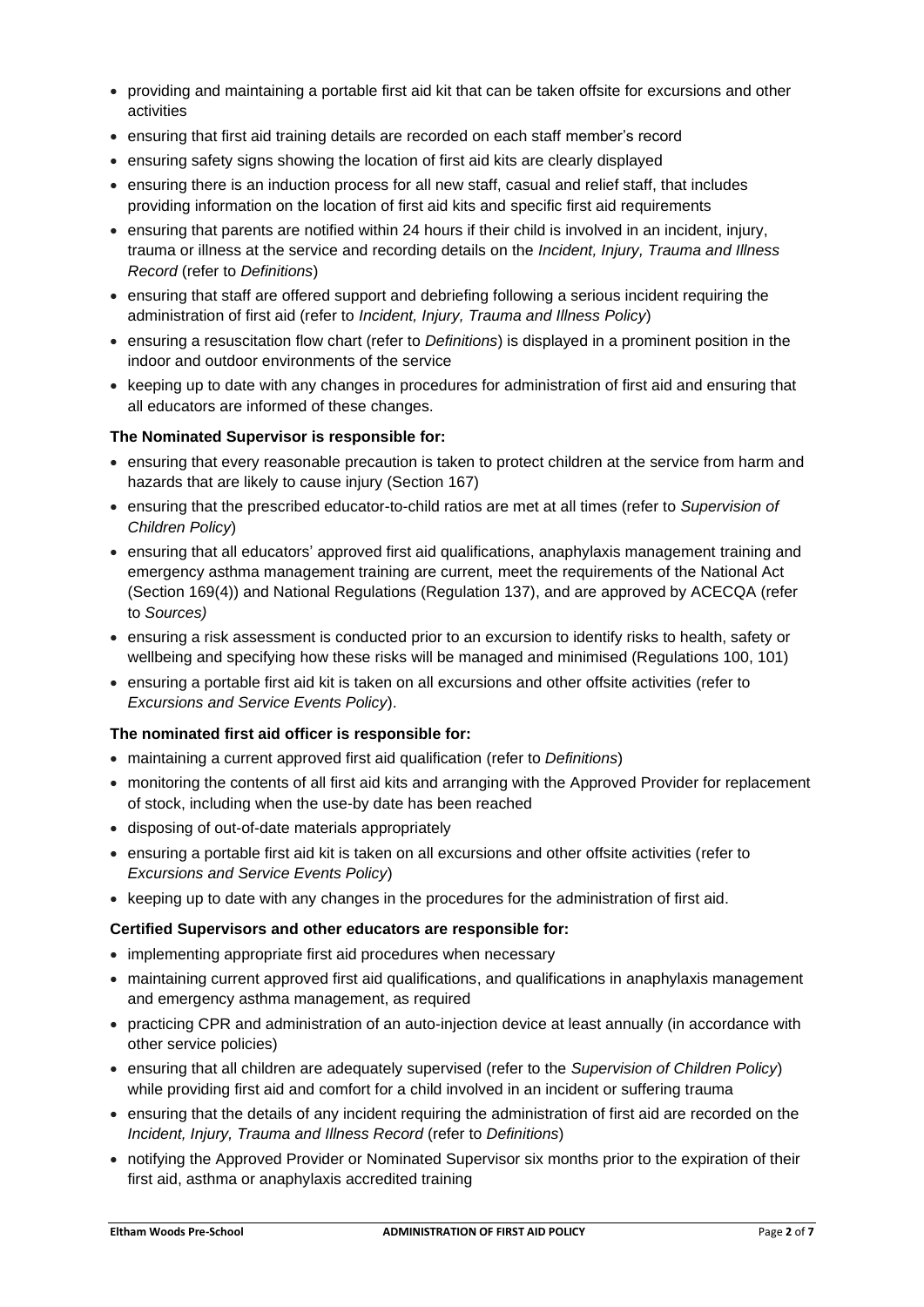- providing and maintaining a portable first aid kit that can be taken offsite for excursions and other activities
- ensuring that first aid training details are recorded on each staff member's record
- ensuring safety signs showing the location of first aid kits are clearly displayed
- ensuring there is an induction process for all new staff, casual and relief staff, that includes providing information on the location of first aid kits and specific first aid requirements
- ensuring that parents are notified within 24 hours if their child is involved in an incident, injury, trauma or illness at the service and recording details on the *Incident, Injury, Trauma and Illness Record* (refer to *Definitions*)
- ensuring that staff are offered support and debriefing following a serious incident requiring the administration of first aid (refer to *Incident, Injury, Trauma and Illness Policy*)
- ensuring a resuscitation flow chart (refer to *Definitions*) is displayed in a prominent position in the indoor and outdoor environments of the service
- keeping up to date with any changes in procedures for administration of first aid and ensuring that all educators are informed of these changes.

## **The Nominated Supervisor is responsible for:**

- ensuring that every reasonable precaution is taken to protect children at the service from harm and hazards that are likely to cause injury (Section 167)
- ensuring that the prescribed educator-to-child ratios are met at all times (refer to *Supervision of Children Policy*)
- ensuring that all educators' approved first aid qualifications, anaphylaxis management training and emergency asthma management training are current, meet the requirements of the National Act (Section 169(4)) and National Regulations (Regulation 137), and are approved by ACECQA (refer to *Sources)*
- ensuring a risk assessment is conducted prior to an excursion to identify risks to health, safety or wellbeing and specifying how these risks will be managed and minimised (Regulations 100, 101)
- ensuring a portable first aid kit is taken on all excursions and other offsite activities (refer to *Excursions and Service Events Policy*).

## **The nominated first aid officer is responsible for:**

- maintaining a current approved first aid qualification (refer to *Definitions*)
- monitoring the contents of all first aid kits and arranging with the Approved Provider for replacement of stock, including when the use-by date has been reached
- disposing of out-of-date materials appropriately
- ensuring a portable first aid kit is taken on all excursions and other offsite activities (refer to *Excursions and Service Events Policy*)
- keeping up to date with any changes in the procedures for the administration of first aid.

## **Certified Supervisors and other educators are responsible for:**

- implementing appropriate first aid procedures when necessary
- maintaining current approved first aid qualifications, and qualifications in anaphylaxis management and emergency asthma management, as required
- practicing CPR and administration of an auto-injection device at least annually (in accordance with other service policies)
- ensuring that all children are adequately supervised (refer to the *Supervision of Children Policy*) while providing first aid and comfort for a child involved in an incident or suffering trauma
- ensuring that the details of any incident requiring the administration of first aid are recorded on the *Incident, Injury, Trauma and Illness Record* (refer to *Definitions*)
- notifying the Approved Provider or Nominated Supervisor six months prior to the expiration of their first aid, asthma or anaphylaxis accredited training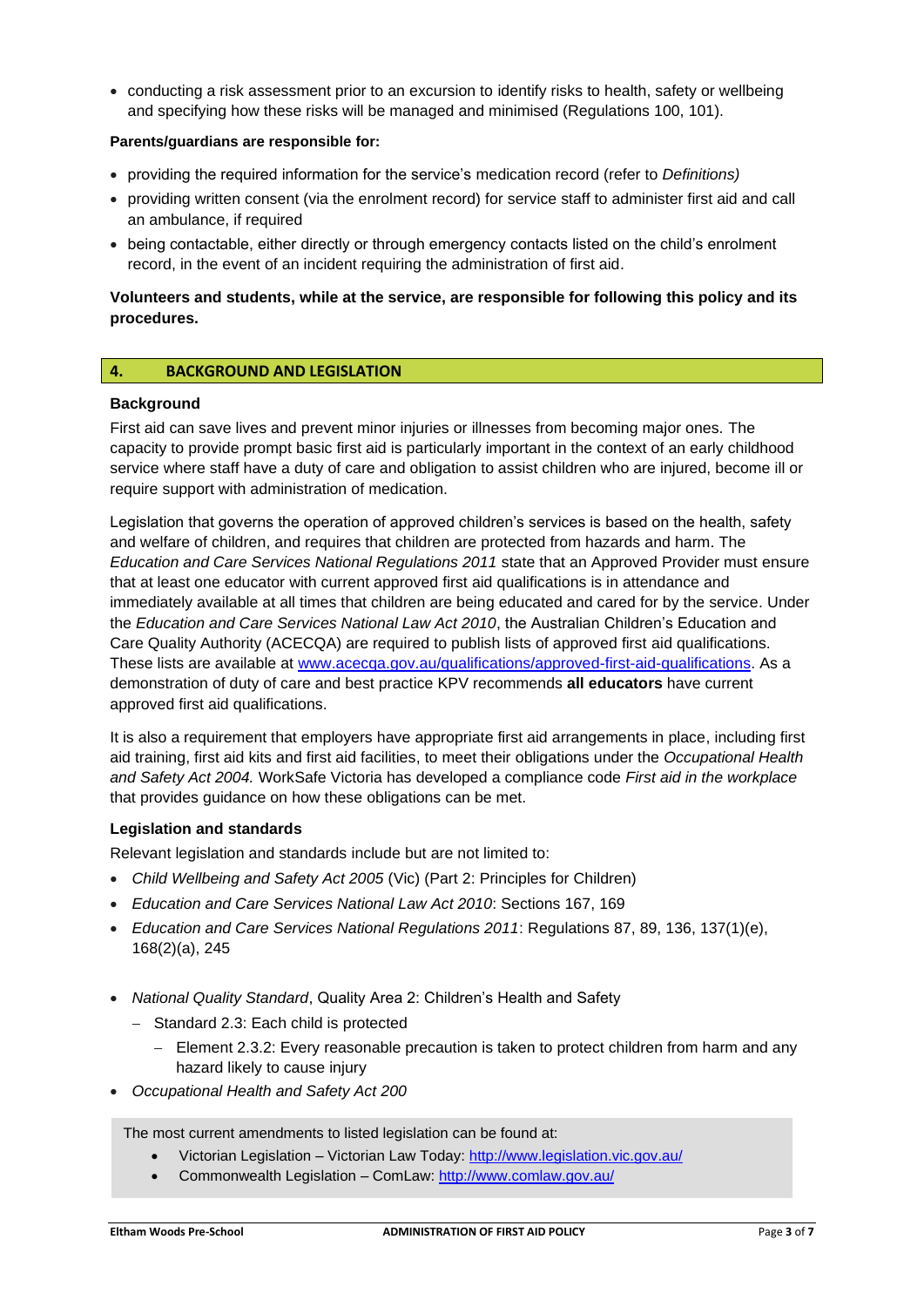• conducting a risk assessment prior to an excursion to identify risks to health, safety or wellbeing and specifying how these risks will be managed and minimised (Regulations 100, 101).

## **Parents/guardians are responsible for:**

- providing the required information for the service's medication record (refer to *Definitions)*
- providing written consent (via the enrolment record) for service staff to administer first aid and call an ambulance, if required
- being contactable, either directly or through emergency contacts listed on the child's enrolment record, in the event of an incident requiring the administration of first aid.

## **Volunteers and students, while at the service, are responsible for following this policy and its procedures.**

## **4. BACKGROUND AND LEGISLATION**

#### **Background**

First aid can save lives and prevent minor injuries or illnesses from becoming major ones. The capacity to provide prompt basic first aid is particularly important in the context of an early childhood service where staff have a duty of care and obligation to assist children who are injured, become ill or require support with administration of medication.

Legislation that governs the operation of approved children's services is based on the health, safety and welfare of children, and requires that children are protected from hazards and harm. The *Education and Care Services National Regulations 2011* state that an Approved Provider must ensure that at least one educator with current approved first aid qualifications is in attendance and immediately available at all times that children are being educated and cared for by the service. Under the *Education and Care Services National Law Act 2010*, the Australian Children's Education and Care Quality Authority (ACECQA) are required to publish lists of approved first aid qualifications. These lists are available at [www.acecqa.gov.au/qualifications/approved-first-aid-qualifications.](http://www.acecqa.gov.au/qualifications/approved-first-aid-qualifications) As a demonstration of duty of care and best practice KPV recommends **all educators** have current approved first aid qualifications.

It is also a requirement that employers have appropriate first aid arrangements in place, including first aid training, first aid kits and first aid facilities, to meet their obligations under the *Occupational Health and Safety Act 2004.* WorkSafe Victoria has developed a compliance code *First aid in the workplace*  that provides guidance on how these obligations can be met.

#### **Legislation and standards**

Relevant legislation and standards include but are not limited to:

- *Child Wellbeing and Safety Act 2005* (Vic) (Part 2: Principles for Children)
- *Education and Care Services National Law Act 2010*: Sections 167, 169
- *Education and Care Services National Regulations 2011*: Regulations 87, 89, 136, 137(1)(e), 168(2)(a), 245
- *National Quality Standard*, Quality Area 2: Children's Health and Safety
	- − Standard 2.3: Each child is protected
		- − Element 2.3.2: Every reasonable precaution is taken to protect children from harm and any hazard likely to cause injury
- *Occupational Health and Safety Act 200*

The most current amendments to listed legislation can be found at:

- Victorian Legislation Victorian Law Today:<http://www.legislation.vic.gov.au/>
- Commonwealth Legislation ComLaw:<http://www.comlaw.gov.au/>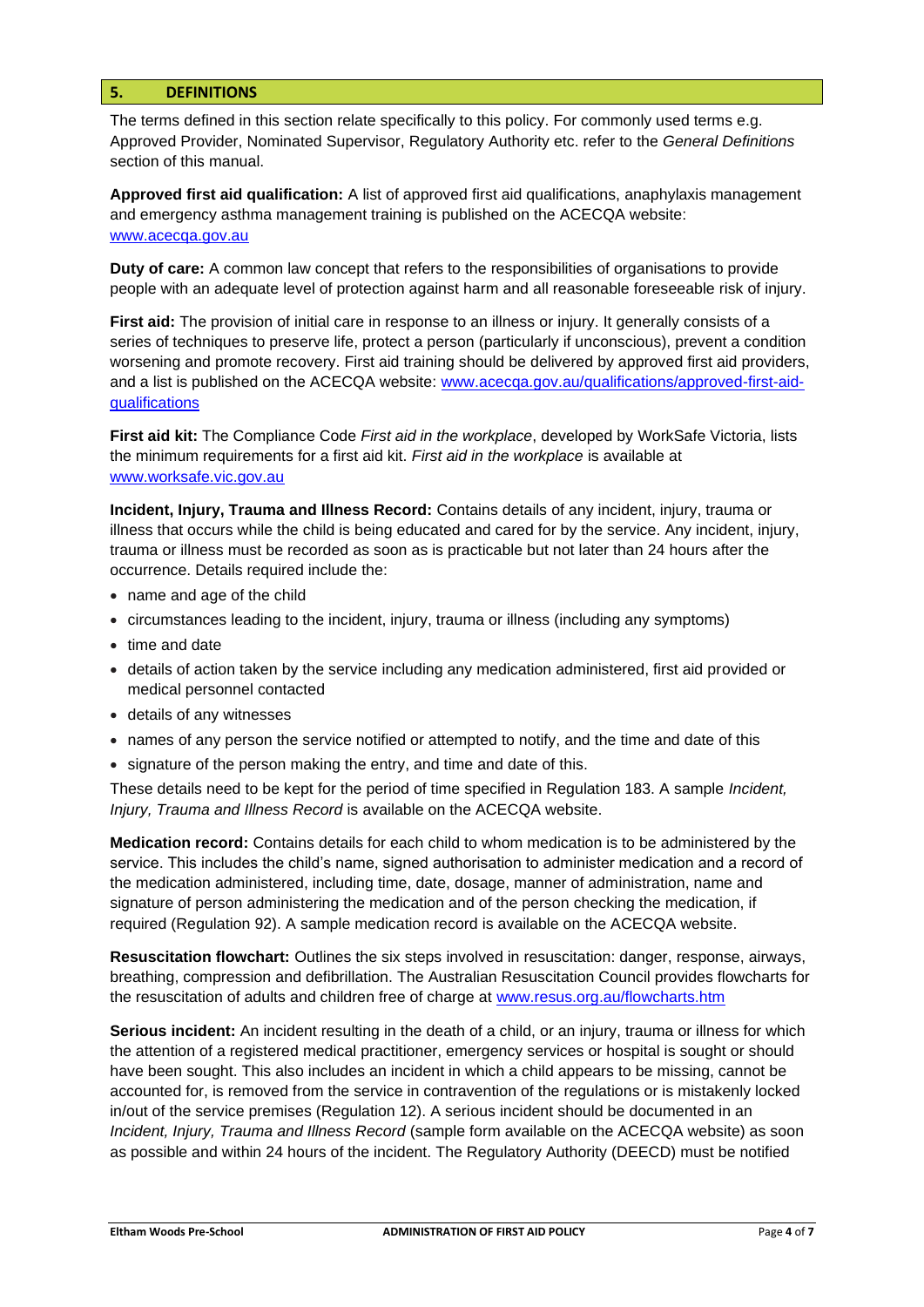## **5. DEFINITIONS**

The terms defined in this section relate specifically to this policy. For commonly used terms e.g. Approved Provider, Nominated Supervisor, Regulatory Authority etc. refer to the *General Definitions* section of this manual.

**Approved first aid qualification:** A list of approved first aid qualifications, anaphylaxis management and emergency asthma management training is published on the ACECQA website: [www.acecqa.gov.au](http://www.acecqa.gov.au/)

**Duty of care:** A common law concept that refers to the responsibilities of organisations to provide people with an adequate level of protection against harm and all reasonable foreseeable risk of injury.

**First aid:** The provision of initial care in response to an illness or injury. It generally consists of a series of techniques to preserve life, protect a person (particularly if unconscious), prevent a condition worsening and promote recovery. First aid training should be delivered by approved first aid providers, and a list is published on the ACECQA website: [www.acecqa.gov.au/qualifications/approved-first-aid](http://www.acecqa.gov.au/qualifications/approved-first-aid-qualifications)[qualifications](http://www.acecqa.gov.au/qualifications/approved-first-aid-qualifications)

**First aid kit:** The Compliance Code *First aid in the workplace*, developed by WorkSafe Victoria, lists the minimum requirements for a first aid kit. *First aid in the workplace* is available at [www.worksafe.vic.gov.au](http://www.worksafe.vic.gov.au/)

**Incident, Injury, Trauma and Illness Record:** Contains details of any incident, injury, trauma or illness that occurs while the child is being educated and cared for by the service. Any incident, injury, trauma or illness must be recorded as soon as is practicable but not later than 24 hours after the occurrence. Details required include the:

- name and age of the child
- circumstances leading to the incident, injury, trauma or illness (including any symptoms)
- time and date
- details of action taken by the service including any medication administered, first aid provided or medical personnel contacted
- details of any witnesses
- names of any person the service notified or attempted to notify, and the time and date of this
- signature of the person making the entry, and time and date of this.

These details need to be kept for the period of time specified in Regulation 183. A sample *Incident, Injury, Trauma and Illness Record* is available on the ACECQA website.

**Medication record:** Contains details for each child to whom medication is to be administered by the service. This includes the child's name, signed authorisation to administer medication and a record of the medication administered, including time, date, dosage, manner of administration, name and signature of person administering the medication and of the person checking the medication, if required (Regulation 92). A sample medication record is available on the ACECQA website.

**Resuscitation flowchart:** Outlines the six steps involved in resuscitation: danger, response, airways, breathing, compression and defibrillation. The Australian Resuscitation Council provides flowcharts for the resuscitation of adults and children free of charge at [www.resus.org.au/flowcharts.htm](http://www.resus.org.au/flowcharts.htm)

**Serious incident:** An incident resulting in the death of a child, or an injury, trauma or illness for which the attention of a registered medical practitioner, emergency services or hospital is sought or should have been sought. This also includes an incident in which a child appears to be missing, cannot be accounted for, is removed from the service in contravention of the regulations or is mistakenly locked in/out of the service premises (Regulation 12). A serious incident should be documented in an *Incident, Injury, Trauma and Illness Record* (sample form available on the ACECQA website) as soon as possible and within 24 hours of the incident. The Regulatory Authority (DEECD) must be notified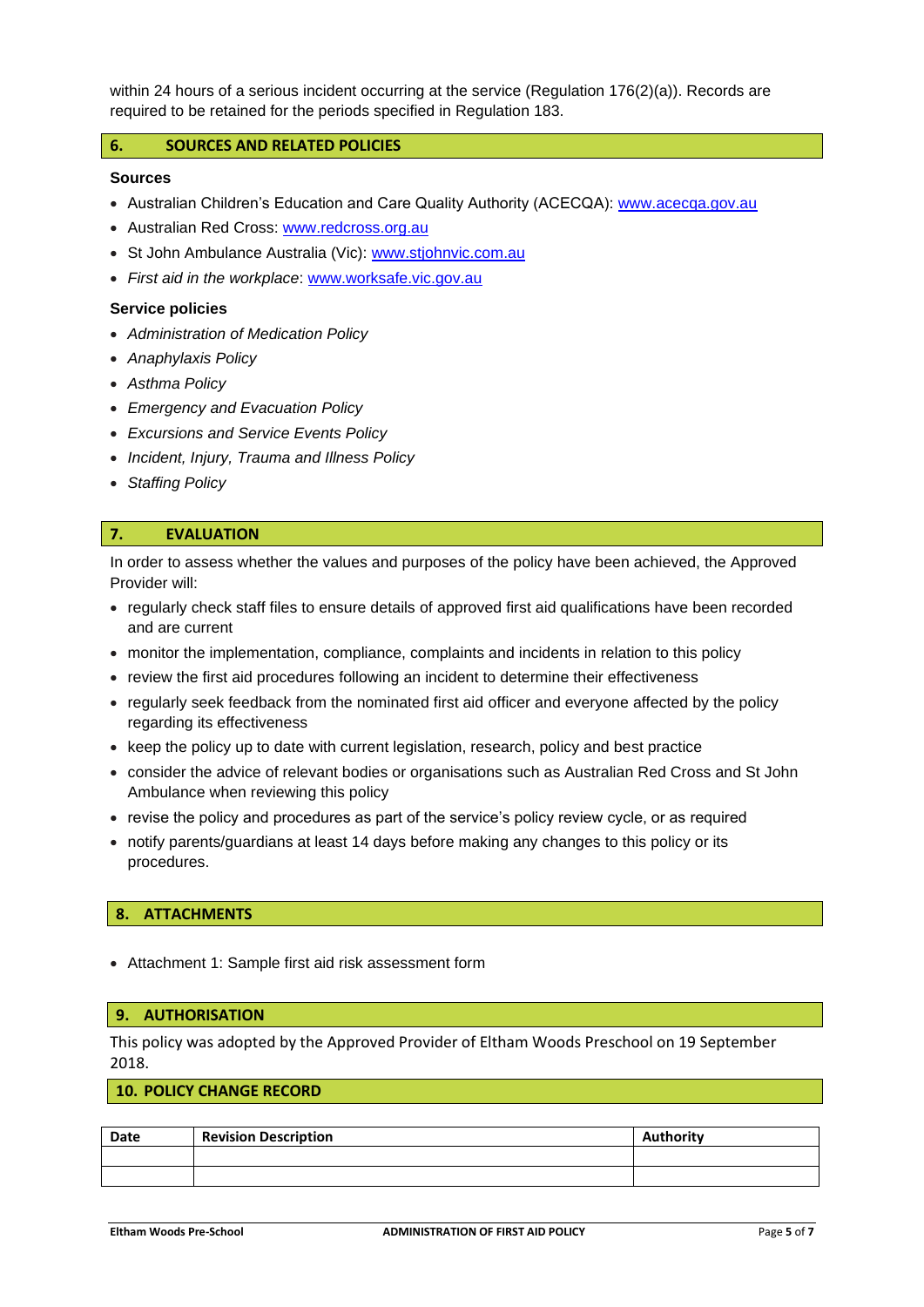within 24 hours of a serious incident occurring at the service (Regulation 176(2)(a)). Records are required to be retained for the periods specified in Regulation 183.

## **6. SOURCES AND RELATED POLICIES**

## **Sources**

- Australian Children's Education and Care Quality Authority (ACECQA): [www.acecqa.gov.au](http://www.acecqa.gov.au/)
- Australian Red Cross: [www.redcross.org.au](http://www.redcross.org.au/)
- St John Ambulance Australia (Vic): [www.stjohnvic.com.au](http://www.stjohnvic.com.au/)
- *First aid in the workplace*: [www.worksafe.vic.gov.au](http://www.worksafe.vic.gov.au/)

#### **Service policies**

- *Administration of Medication Policy*
- *Anaphylaxis Policy*
- *Asthma Policy*
- *Emergency and Evacuation Policy*
- *Excursions and Service Events Policy*
- *Incident, Injury, Trauma and Illness Policy*
- *Staffing Policy*

## **7. EVALUATION**

In order to assess whether the values and purposes of the policy have been achieved, the Approved Provider will:

- regularly check staff files to ensure details of approved first aid qualifications have been recorded and are current
- monitor the implementation, compliance, complaints and incidents in relation to this policy
- review the first aid procedures following an incident to determine their effectiveness
- regularly seek feedback from the nominated first aid officer and everyone affected by the policy regarding its effectiveness
- keep the policy up to date with current legislation, research, policy and best practice
- consider the advice of relevant bodies or organisations such as Australian Red Cross and St John Ambulance when reviewing this policy
- revise the policy and procedures as part of the service's policy review cycle, or as required
- notify parents/guardians at least 14 days before making any changes to this policy or its procedures.

#### **8. ATTACHMENTS**

• Attachment 1: Sample first aid risk assessment form

#### **9. AUTHORISATION**

This policy was adopted by the Approved Provider of Eltham Woods Preschool on 19 September 2018.

## **10. POLICY CHANGE RECORD**

| Date | <b>Revision Description</b> | Authority |
|------|-----------------------------|-----------|
|      |                             |           |
|      |                             |           |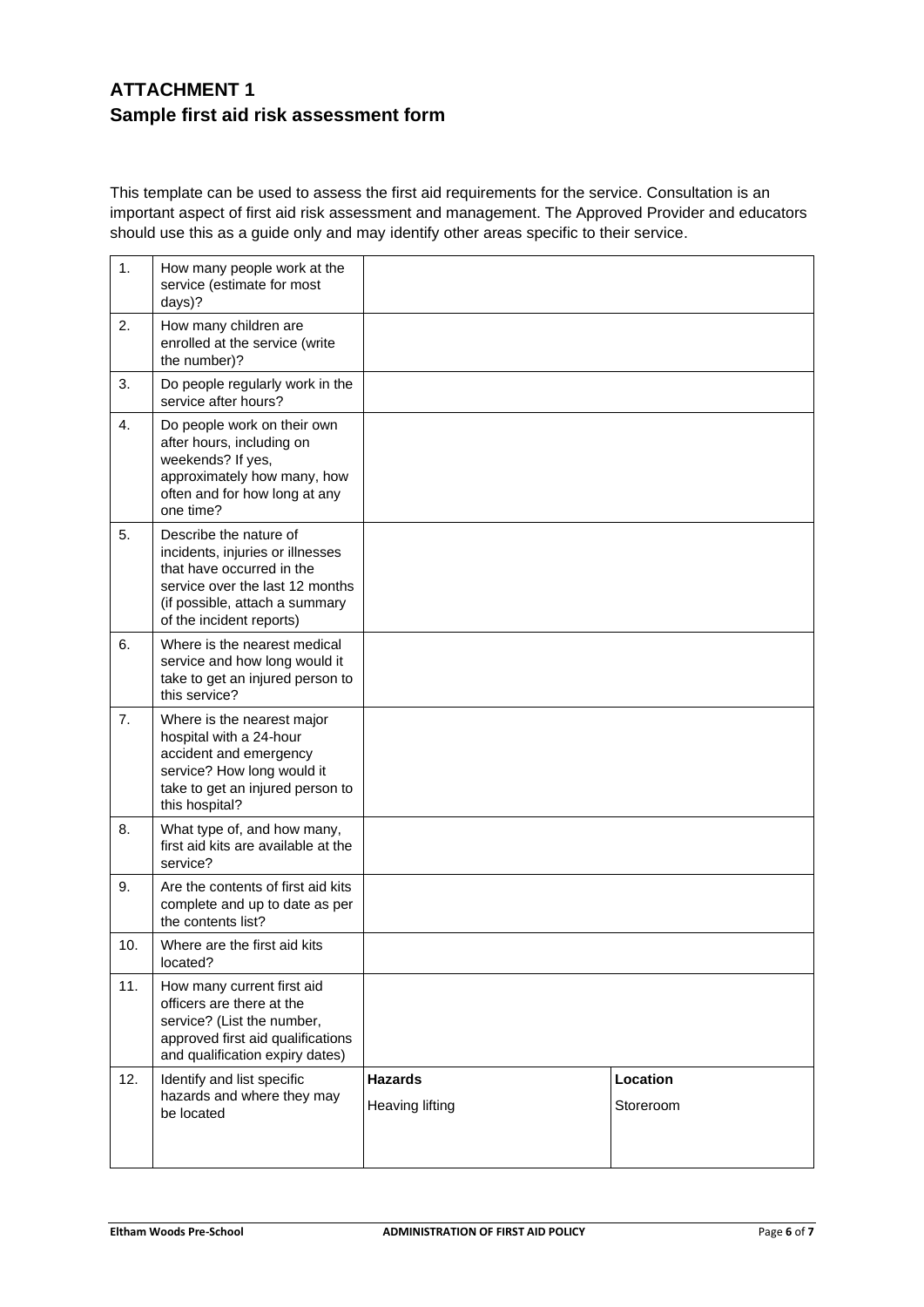# **ATTACHMENT 1 Sample first aid risk assessment form**

This template can be used to assess the first aid requirements for the service. Consultation is an important aspect of first aid risk assessment and management. The Approved Provider and educators should use this as a guide only and may identify other areas specific to their service.

| 1.  | How many people work at the                                                                                                                                                              |                                   |                       |
|-----|------------------------------------------------------------------------------------------------------------------------------------------------------------------------------------------|-----------------------------------|-----------------------|
|     | service (estimate for most<br>days)?                                                                                                                                                     |                                   |                       |
| 2.  | How many children are<br>enrolled at the service (write<br>the number)?                                                                                                                  |                                   |                       |
| 3.  | Do people regularly work in the<br>service after hours?                                                                                                                                  |                                   |                       |
| 4.  | Do people work on their own<br>after hours, including on<br>weekends? If yes,<br>approximately how many, how<br>often and for how long at any<br>one time?                               |                                   |                       |
| 5.  | Describe the nature of<br>incidents, injuries or illnesses<br>that have occurred in the<br>service over the last 12 months<br>(if possible, attach a summary<br>of the incident reports) |                                   |                       |
| 6.  | Where is the nearest medical<br>service and how long would it<br>take to get an injured person to<br>this service?                                                                       |                                   |                       |
| 7.  | Where is the nearest major<br>hospital with a 24-hour<br>accident and emergency<br>service? How long would it<br>take to get an injured person to<br>this hospital?                      |                                   |                       |
| 8.  | What type of, and how many,<br>first aid kits are available at the<br>service?                                                                                                           |                                   |                       |
| 9.  | Are the contents of first aid kits<br>complete and up to date as per<br>the contents list?                                                                                               |                                   |                       |
| 10. | Where are the first aid kits<br>located?                                                                                                                                                 |                                   |                       |
| 11. | How many current first aid<br>officers are there at the<br>service? (List the number,<br>approved first aid qualifications<br>and qualification expiry dates)                            |                                   |                       |
| 12. | Identify and list specific<br>hazards and where they may<br>be located                                                                                                                   | <b>Hazards</b><br>Heaving lifting | Location<br>Storeroom |